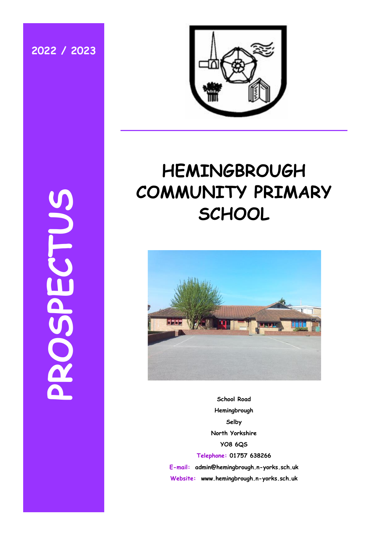**2022 / 2023**

**PROSPECTUS**



# **HEMINGBROUGH COMMUNITY PRIMARY SCHOOL**



**School Road Hemingbrough Selby North Yorkshire YO8 6QS Telephone: 01757 638266 E-mail: admin@hemingbrough.n-yorks.sch.uk Website: www.hemingbrough.n-yorks.sch.uk**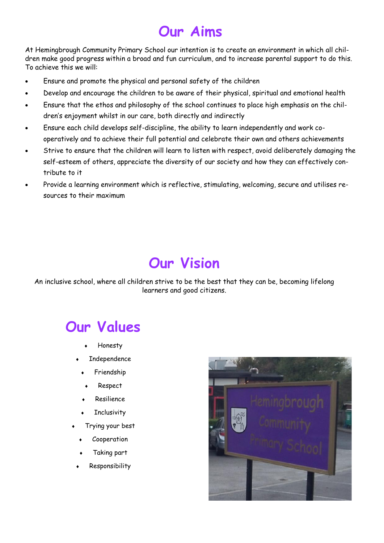# **Our Aims**

At Hemingbrough Community Primary School our intention is to create an environment in which all children make good progress within a broad and fun curriculum, and to increase parental support to do this. To achieve this we will:

- Ensure and promote the physical and personal safety of the children
- Develop and encourage the children to be aware of their physical, spiritual and emotional health
- Ensure that the ethos and philosophy of the school continues to place high emphasis on the children's enjoyment whilst in our care, both directly and indirectly
- Ensure each child develops self-discipline, the ability to learn independently and work cooperatively and to achieve their full potential and celebrate their own and others achievements
- Strive to ensure that the children will learn to listen with respect, avoid deliberately damaging the self-esteem of others, appreciate the diversity of our society and how they can effectively contribute to it
- Provide a learning environment which is reflective, stimulating, welcoming, secure and utilises resources to their maximum

# **Our Vision**

An inclusive school, where all children strive to be the best that they can be, becoming lifelong learners and good citizens.

# **Our Values**

- Honesty
- Independence
- Friendship
- Respect
- Resilience
- **Inclusivity**
- Trying your best
	- Cooperation
	- Taking part
	- Responsibility

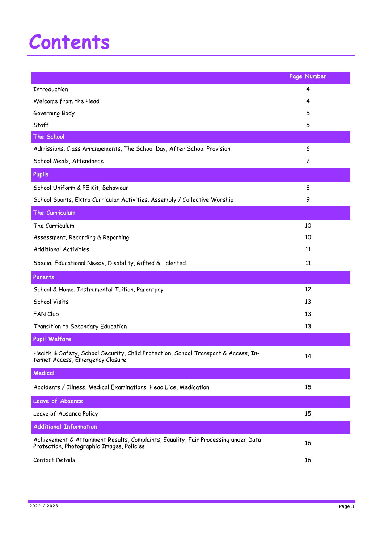# **Contents**

|                                                                                                                                 | Page Number |
|---------------------------------------------------------------------------------------------------------------------------------|-------------|
| Introduction                                                                                                                    | 4           |
| Welcome from the Head                                                                                                           | 4           |
| Governing Body                                                                                                                  | 5           |
| Staff                                                                                                                           | 5           |
| The School                                                                                                                      |             |
| Admissions, Class Arrangements, The School Day, After School Provision                                                          | 6           |
| School Meals, Attendance                                                                                                        | 7           |
| Pupils                                                                                                                          |             |
| School Uniform & PE Kit, Behaviour                                                                                              | 8           |
| School Sports, Extra Curricular Activities, Assembly / Collective Worship                                                       | 9           |
| The Curriculum                                                                                                                  |             |
| The Curriculum                                                                                                                  | 10          |
| Assessment, Recording & Reporting                                                                                               | 10          |
| <b>Additional Activities</b>                                                                                                    | 11          |
| Special Educational Needs, Disability, Gifted & Talented                                                                        | 11          |
| Parents                                                                                                                         |             |
| School & Home, Instrumental Tuition, Parentpay                                                                                  | 12          |
| School Visits                                                                                                                   | 13          |
| <b>FAN Club</b>                                                                                                                 | 13          |
| Transition to Secondary Education                                                                                               | 13          |
| <b>Pupil Welfare</b>                                                                                                            |             |
| Health & Safety, School Security, Child Protection, School Transport & Access, In-<br>ternet Access, Emergency Closure          | 14          |
| Medical                                                                                                                         |             |
| Accidents / Illness, Medical Examinations. Head Lice, Medication                                                                | 15          |
| Leave of Absence                                                                                                                |             |
| Leave of Absence Policy                                                                                                         | 15          |
| <b>Additional Information</b>                                                                                                   |             |
| Achievement & Attainment Results, Complaints, Equality, Fair Processing under Data<br>Protection, Photographic Images, Policies | 16          |
| Contact Details                                                                                                                 | 16          |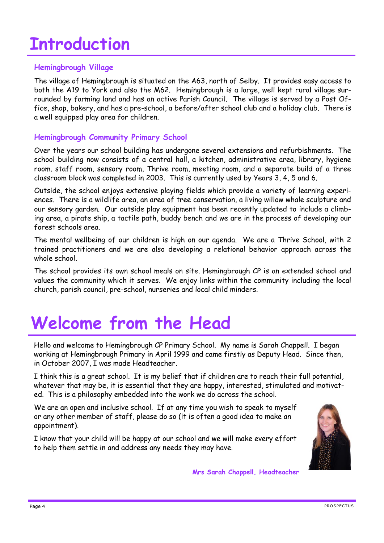# **Introduction**

# **Hemingbrough Village**

The village of Hemingbrough is situated on the A63, north of Selby. It provides easy access to both the A19 to York and also the M62. Hemingbrough is a large, well kept rural village surrounded by farming land and has an active Parish Council. The village is served by a Post Office, shop, bakery, and has a pre-school, a before/after school club and a holiday club. There is a well equipped play area for children.

# **Hemingbrough Community Primary School**

Over the years our school building has undergone several extensions and refurbishments. The school building now consists of a central hall, a kitchen, administrative area, library, hygiene room. staff room, sensory room, Thrive room, meeting room, and a separate build of a three classroom block was completed in 2003. This is currently used by Years 3, 4, 5 and 6.

Outside, the school enjoys extensive playing fields which provide a variety of learning experiences. There is a wildlife area, an area of tree conservation, a living willow whale sculpture and our sensory garden. Our outside play equipment has been recently updated to include a climbing area, a pirate ship, a tactile path, buddy bench and we are in the process of developing our forest schools area.

The mental wellbeing of our children is high on our agenda. We are a Thrive School, with 2 trained practitioners and we are also developing a relational behavior approach across the whole school.

The school provides its own school meals on site. Hemingbrough CP is an extended school and values the community which it serves. We enjoy links within the community including the local church, parish council, pre-school, nurseries and local child minders.

# **Welcome from the Head**

Hello and welcome to Hemingbrough CP Primary School. My name is Sarah Chappell. I began working at Hemingbrough Primary in April 1999 and came firstly as Deputy Head. Since then, in October 2007, I was made Headteacher.

I think this is a great school. It is my belief that if children are to reach their full potential, whatever that may be, it is essential that they are happy, interested, stimulated and motivated. This is a philosophy embedded into the work we do across the school.

We are an open and inclusive school. If at any time you wish to speak to myself or any other member of staff, please do so (it is often a good idea to make an appointment).

I know that your child will be happy at our school and we will make every effort to help them settle in and address any needs they may have.



**Mrs Sarah Chappell, Headteacher**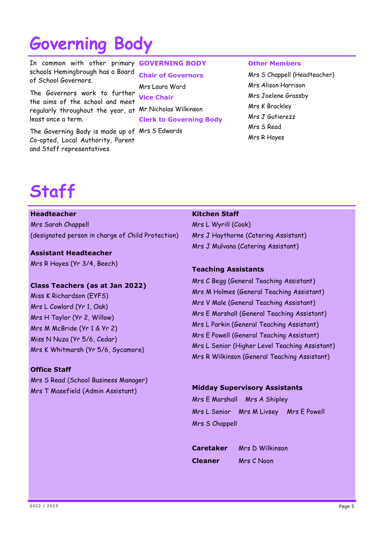# **Governing Body**

In common with other primary schools Hemingbrough has a Board of School Governors.

The Governors work to further the aims of the school and meet regularly throughout the year, at Mr Nicholas Wilkinson least once a term.

The Governing Body is made up of Mrs S Edwards Co-opted, Local Authority, Parent and Staff representatives.

# **GOVERNING BODY**

**Chair of Governors**

Mrs Laura Ward **Vice Chair Clerk to Governing Body**

### **Other Members**

Mrs S Chappell (Headteacher) Mrs Alison Harrison Mrs Joelene Grassby Mrs K Brackley Mrs J Gutierezz Mrs S Read Mrs R Hayes

# **Staff**

### **Headteacher**

Mrs Sarah Chappell (designated person in charge of Child Protection)

# **Assistant Headteacher**

Mrs R Hayes (Yr 3/4, Beech)

## **Class Teachers (as at Jan 2022)**

Miss K Richardson (EYFS) Mrs L Cowlard (Yr 1, Oak) Mrs H Taylor (Yr 2, Willow) Mrs M McBride (Yr 1 & Yr 2) Miss N Nuza (Yr 5/6, Cedar) Mrs K Whitmarsh (Yr 5/6, Sycamore)

# **Office Staff**

Mrs S Read (School Business Manager) Mrs T Masefield (Admin Assistant)

### **Kitchen Staff**

Mrs L Wyrill (Cook) Mrs J Haythorne (Catering Assistant) Mrs J Mulvana (Catering Assistant)

# **Teaching Assistants**

Mrs C Begg (General Teaching Assistant) Mrs M Holmes (General Teaching Assistant) Mrs V Male (General Teaching Assistant) Mrs E Marshall (General Teaching Assistant) Mrs L Parkin (General Teaching Assistant) Mrs E Powell (General Teaching Assistant) Mrs L Senior (Higher Level Teaching Assistant) Mrs R Wilkinson (General Teaching Assistant)

# **Midday Supervisory Assistants**

Mrs E Marshall Mrs A Shipley Mrs L Senior Mrs M Livsey Mrs E Powell Mrs S Chappell

**Caretaker** Mrs D Wilkinson **Cleaner** Mrs C Noon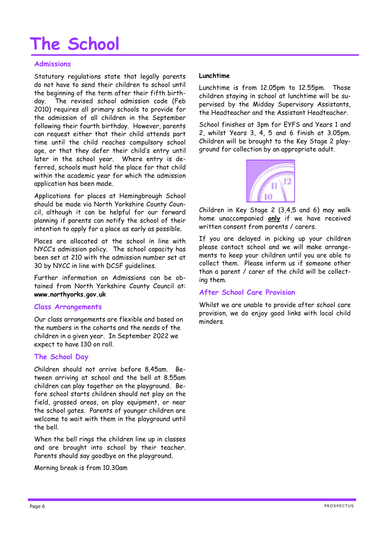# **The School**

# **Admissions**

Statutory regulations state that legally parents do not have to send their children to school until the beginning of the term after their fifth birthday. The revised school admission code (Feb 2010) requires all primary schools to provide for the admission of all children in the September following their fourth birthday. However, parents can request either that their child attends part time until the child reaches compulsory school age, or that they defer their child's entry until later in the school year. Where entry is deferred, schools must hold the place for that child within the academic year for which the admission application has been made.

Applications for places at Hemingbrough School should be made via North Yorkshire County Council, although it can be helpful for our forward planning if parents can notify the school of their intention to apply for a place as early as possible.

Places are allocated at the school in line with NYCC's admission policy. The school capacity has been set at 210 with the admission number set at 30 by NYCC in line with DCSF guidelines.

Further information on Admissions can be obtained from North Yorkshire County Council at: **www.northyorks.gov.uk**

## **Class Arrangements**

Our class arrangements are flexible and based on the numbers in the cohorts and the needs of the children in a given year. In September 2022 we expect to have 130 on roll.

## **The School Day**

Children should not arrive before 8.45am. Between arriving at school and the bell at 8.55am children can play together on the playground. Before school starts children should not play on the field, grassed areas, on play equipment, or near the school gates. Parents of younger children are welcome to wait with them in the playground until the bell.

When the bell rings the children line up in classes and are brought into school by their teacher. Parents should say goodbye on the playground.

Morning break is from 10.30am

### **Lunchtime**

Lunchtime is from 12.05pm to 12.55pm. Those children staying in school at lunchtime will be supervised by the Midday Supervisory Assistants, the Headteacher and the Assistant Headteacher.

School finishes at 3pm for EYFS and Years 1 and 2, whilst Years 3, 4, 5 and 6 finish at 3.05pm. Children will be brought to the Key Stage 2 playground for collection by an appropriate adult.



Children in Key Stage 2 (3,4,5 and 6) may walk home unaccompanied **only** if we have received written consent from parents / carers.

If you are delayed in picking up your children please contact school and we will make arrangements to keep your children until you are able to collect them. Please inform us if someone other than a parent / carer of the child will be collecting them.

## **After School Care Provision**

Whilst we are unable to provide after school care provision, we do enjoy good links with local child minders.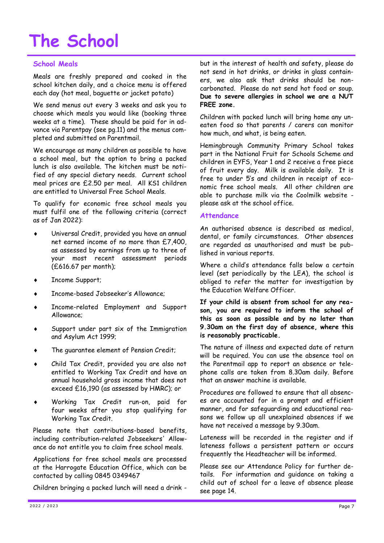# **The School**

# **School Meals**

Meals are freshly prepared and cooked in the school kitchen daily, and a choice menu is offered each day (hot meal, baguette or jacket potato)

We send menus out every 3 weeks and ask you to choose which meals you would like (booking three weeks at a time). These should be paid for in advance via Parentpay (see pg.11) and the menus completed and submitted on Parentmail.

We encourage as many children as possible to have a school meal, but the option to bring a packed lunch is also available. The kitchen must be notified of any special dietary needs. Current school meal prices are £2.50 per meal. All KS1 children are entitled to Universal Free School Meals.

To qualify for economic free school meals you must fulfil one of the following criteria (correct as of Jan 2022):

- Universal Credit, provided you have an annual net earned income of no more than £7,400, as assessed by earnings from up to three of your most recent assessment periods (£616.67 per month);
- Income Support;
- Income-based Jobseeker's Allowance;
- Income-related Employment and Support Allowance;
- Support under part six of the Immigration and Asylum Act 1999;
- The guarantee element of Pension Credit;
- Child Tax Credit, provided you are also not entitled to Working Tax Credit and have an annual household gross income that does not exceed £16,190 (as assessed by HMRC); or
- Working Tax Credit run-on, paid for four weeks after you stop qualifying for Working Tax Credit.

Please note that contributions-based benefits, including contribution-related Jobseekers' Allowance do not entitle you to claim free school meals.

Applications for free school meals are processed at the Harrogate Education Office, which can be contacted by calling 0845 0349467

Children bringing a packed lunch will need a drink -

but in the interest of health and safety, please do not send in hot drinks, or drinks in glass containers, we also ask that drinks should be noncarbonated. Please do not send hot food or soup. **Due to severe allergies in school we are a NUT FREE zone.**

Children with packed lunch will bring home any uneaten food so that parents / carers can monitor how much, and what, is being eaten.

Hemingbrough Community Primary School takes part in the National Fruit for Schools Scheme and children in EYFS, Year 1 and 2 receive a free piece of fruit every day. Milk is available daily. It is free to under 5's and children in receipt of economic free school meals. All other children are able to purchase milk via the Coolmilk website please ask at the school office.

### **Attendance**

An authorised absence is described as medical, dental, or family circumstances. Other absences are regarded as unauthorised and must be published in various reports.

Where a child's attendance falls below a certain level (set periodically by the LEA), the school is obliged to refer the matter for investigation by the Education Welfare Officer.

**If your child is absent from school for any reason, you are required to inform the school of this as soon as possible and by no later than 9.30am on the first day of absence, where this is reasonably practicable.**

The nature of illness and expected date of return will be required. You can use the absence tool on the Parentmail app to report an absence or telephone calls are taken from 8.30am daily. Before that an answer machine is available.

Procedures are followed to ensure that all absences are accounted for in a prompt and efficient manner, and for safeguarding and educational reasons we follow up all unexplained absences if we have not received a message by 9.30am.

Lateness will be recorded in the register and if lateness follows a persistent pattern or occurs frequently the Headteacher will be informed.

Please see our Attendance Policy for further details. For information and guidance on taking a child out of school for a leave of absence please see page 14.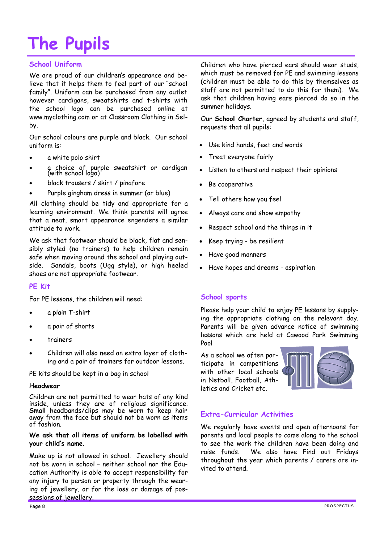# **The Pupils**

# **School Uniform**

We are proud of our children's appearance and believe that it helps them to feel part of our "school family". Uniform can be purchased from any outlet however cardigans, sweatshirts and t-shirts with the school logo can be purchased online at www.myclothing.com or at Classroom Clothing in Selby.

Our school colours are purple and black. Our school uniform is:

- a white polo shirt
- a choice of purple sweatshirt or cardigan (with school logo)
- black trousers / skirt / pinafore
- Purple gingham dress in summer (or blue)

All clothing should be tidy and appropriate for a learning environment. We think parents will agree that a neat, smart appearance engenders a similar attitude to work.

We ask that footwear should be black, flat and sensibly styled (no trainers) to help children remain safe when moving around the school and playing outside. Sandals, boots (Ugg style), or high heeled shoes are not appropriate footwear.

## **PE Kit**

For PE lessons, the children will need:

- a plain T-shirt
- a pair of shorts
- trainers
- Children will also need an extra layer of clothing and a pair of trainers for outdoor lessons.

PE kits should be kept in a bag in school

### **Headwear**

Children are not permitted to wear hats of any kind inside, unless they are of religious significance. **Small** headbands/clips may be worn to keep hair away from the face but should not be worn as items of fashion.

### **We ask that all items of uniform be labelled with your child's name**.

Make up is not allowed in school. Jewellery should not be worn in school – neither school nor the Education Authority is able to accept responsibility for any injury to person or property through the wearing of jewellery, or for the loss or damage of possessions of jewellery.

Children who have pierced ears should wear studs, which must be removed for PE and swimming lessons (children must be able to do this by themselves as staff are not permitted to do this for them). We ask that children having ears pierced do so in the summer holidays.

Our **School Charter**, agreed by students and staff, requests that all pupils:

- Use kind hands, feet and words
- Treat everyone fairly
- Listen to others and respect their opinions
- Be cooperative
- Tell others how you feel
- Always care and show empathy
- Respect school and the things in it
- Keep trying be resilient
- Have good manners
- Have hopes and dreams aspiration

# **School sports**

Please help your child to enjoy PE lessons by supplying the appropriate clothing on the relevant day. Parents will be given advance notice of swimming lessons which are held at Cawood Park Swimming Pool

As a school we often participate in competitions with other local schools in Netball, Football, Athletics and Cricket etc.



# **Extra-Curricular Activities**

We regularly have events and open afternoons for parents and local people to come along to the school to see the work the children have been doing and raise funds. We also have Find out Fridays throughout the year which parents / carers are invited to attend.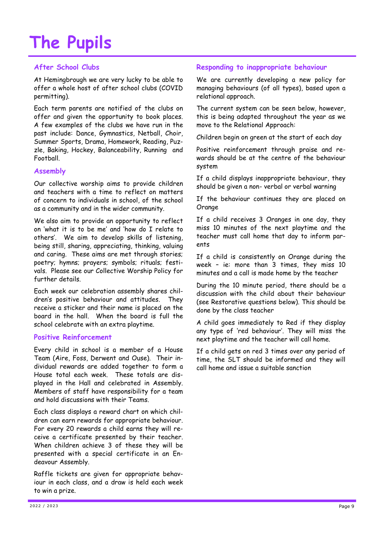# **The Pupils**

# **After School Clubs**

At Hemingbrough we are very lucky to be able to offer a whole host of after school clubs (COVID permitting).

Each term parents are notified of the clubs on offer and given the opportunity to book places. A few examples of the clubs we have run in the past include: Dance, Gymnastics, Netball, Choir, Summer Sports, Drama, Homework, Reading, Puzzle, Baking, Hockey, Balanceability, Running and Football.

## **Assembly**

Our collective worship aims to provide children and teachers with a time to reflect on matters of concern to individuals in school, of the school as a community and in the wider community.

We also aim to provide an opportunity to reflect on 'what it is to be me' and 'how do I relate to others'. We aim to develop skills of listening, being still, sharing, appreciating, thinking, valuing and caring. These aims are met through stories; poetry; hymns; prayers; symbols; rituals; festivals. Please see our Collective Worship Policy for further details.

Each week our celebration assembly shares children's positive behaviour and attitudes. They receive a sticker and their name is placed on the board in the hall. When the board is full the school celebrate with an extra playtime.

## **Positive Reinforcement**

Every child in school is a member of a House Team (Aire, Foss, Derwent and Ouse). Their individual rewards are added together to form a House total each week. These totals are displayed in the Hall and celebrated in Assembly. Members of staff have responsibility for a team and hold discussions with their Teams.

Each class displays a reward chart on which children can earn rewards for appropriate behaviour. For every 20 rewards a child earns they will receive a certificate presented by their teacher. When children achieve 3 of these they will be presented with a special certificate in an Endeavour Assembly.

Raffle tickets are given for appropriate behaviour in each class, and a draw is held each week to win a prize.

# **Responding to inappropriate behaviour**

We are currently developing a new policy for managing behaviours (of all types), based upon a relational approach.

The current system can be seen below, however, this is being adapted throughout the year as we move to the Relational Approach:

Children begin on green at the start of each day

Positive reinforcement through praise and rewards should be at the centre of the behaviour system

If a child displays inappropriate behaviour, they should be given a non- verbal or verbal warning

If the behaviour continues they are placed on Orange

If a child receives 3 Oranges in one day, they miss 10 minutes of the next playtime and the teacher must call home that day to inform parents

If a child is consistently on Orange during the week – ie: more than 3 times, they miss 10 minutes and a call is made home by the teacher

During the 10 minute period, there should be a discussion with the child about their behaviour (see Restorative questions below). This should be done by the class teacher

A child goes immediately to Red if they display any type of 'red behaviour'. They will miss the next playtime and the teacher will call home.

If a child gets on red 3 times over any period of time, the SLT should be informed and they will call home and issue a suitable sanction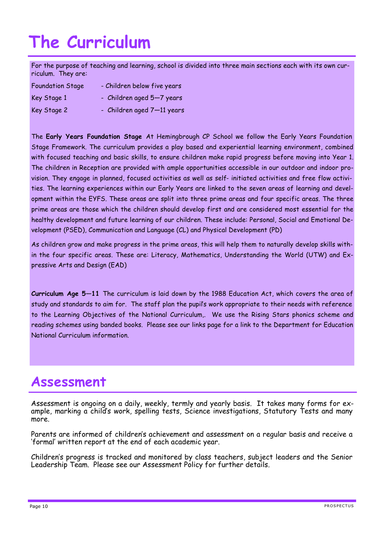# **The Curriculum**

For the purpose of teaching and learning, school is divided into three main sections each with its own curriculum. They are:

| <b>Foundation Stage</b> | - Children below five years |
|-------------------------|-----------------------------|
| Key Stage 1             | - Children aged 5-7 years   |
| Key Stage 2             | - Children aged 7-11 years  |

The **Early Years Foundation Stage** At Hemingbrough CP School we follow the Early Years Foundation Stage Framework. The curriculum provides a play based and experiential learning environment, combined with focused teaching and basic skills, to ensure children make rapid progress before moving into Year 1. The children in Reception are provided with ample opportunities accessible in our outdoor and indoor provision. They engage in planned, focused activities as well as self- initiated activities and free flow activities. The learning experiences within our Early Years are linked to the seven areas of learning and development within the EYFS. These areas are split into three prime areas and four specific areas. The three prime areas are those which the children should develop first and are considered most essential for the healthy development and future learning of our children. These include: Personal, Social and Emotional Development (PSED), Communication and Language (CL) and Physical Development (PD)

As children grow and make progress in the prime areas, this will help them to naturally develop skills within the four specific areas. These are: Literacy, Mathematics, Understanding the World (UTW) and Expressive Arts and Design (EAD)

**Curriculum Age 5—11** The curriculum is laid down by the 1988 Education Act, which covers the area of study and standards to aim for. The staff plan the pupil's work appropriate to their needs with reference to the Learning Objectives of the National Curriculum,. We use the Rising Stars phonics scheme and reading schemes using banded books. Please see our links page for a link to the Department for Education National Curriculum information.

# **Assessment**

Assessment is ongoing on a daily, weekly, termly and yearly basis. It takes many forms for example, marking a child's work, spelling tests, Science investigations, Statutory Tests and many more.

Parents are informed of children's achievement and assessment on a regular basis and receive a 'formal' written report at the end of each academic year.

Children's progress is tracked and monitored by class teachers, subject leaders and the Senior Leadership Team. Please see our Assessment Policy for further details.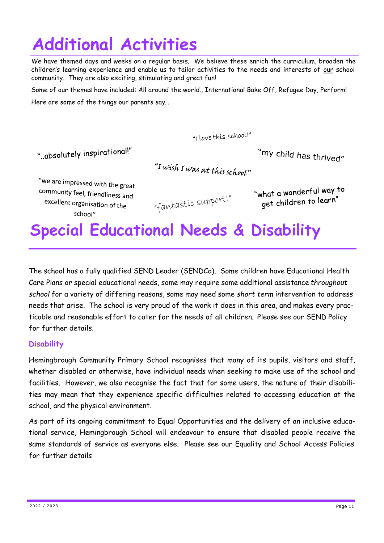# **Additional Activities**

We have themed days and weeks on a regular basis. We believe these enrich the curriculum, broaden the children's learning experience and enable us to tailor activities to the needs and interests of our school community. They are also exciting, stimulating and great fun!

Some of our themes have included: All around the world., International Bake Off, Refugee Day, Perform! Here are some of the things our parents say…

"I Love this school!"

".absolutely inspirational!"

"my child has thrived"

"I wish I was at this school"

"we are impressed with the great community feel, friendliness and excellent organisation of the school"

"fantastic support!"

"what a wonderful way to get children to learn"

# **Special Educational Needs & Disability**

The school has a fully qualified SEND Leader (SENDCo). Some children have Educational Health Care Plans or special educational needs, some may require some additional assistance *throughout school* for a variety of differing reasons, some may need some *short term* intervention to address needs that arise. The school is very proud of the work it does in this area, and makes every practicable and reasonable effort to cater for the needs of all children. Please see our SEND Policy for further details.

# **Disability**

Hemingbrough Community Primary School recognises that many of its pupils, visitors and staff, whether disabled or otherwise, have individual needs when seeking to make use of the school and facilities. However, we also recognise the fact that for some users, the nature of their disabilities may mean that they experience specific difficulties related to accessing education at the school, and the physical environment.

As part of its ongoing commitment to Equal Opportunities and the delivery of an inclusive educational service, Hemingbrough School will endeavour to ensure that disabled people receive the same standards of service as everyone else. Please see our Equality and School Access Policies for further details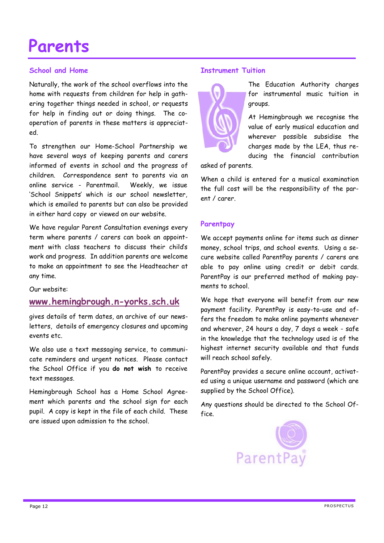# **Parents**

# **School and Home**

Naturally, the work of the school overflows into the home with requests from children for help in gathering together things needed in school, or requests for help in finding out or doing things. The cooperation of parents in these matters is appreciated.

To strengthen our Home-School Partnership we have several ways of keeping parents and carers informed of events in school and the progress of children. Correspondence sent to parents via an online service - Parentmail. Weekly, we issue 'School Snippets' which is our school newsletter, which is emailed to parents but can also be provided in either hard copy or viewed on our website.

We have regular Parent Consultation evenings every term where parents / carers can book an appointment with class teachers to discuss their child's work and progress. In addition parents are welcome to make an appointment to see the Headteacher at any time.

## Our website:

# **[www.hemingbrough.n](https://hemingbrough.eschools.co.uk/website/home/261720)-yorks.sch.uk**

gives details of term dates, an archive of our newsletters, details of emergency closures and upcoming events etc.

We also use a text messaging service, to communicate reminders and urgent notices. Please contact the School Office if you **do not wish** to receive text messages.

Hemingbrough School has a Home School Agreement which parents and the school sign for each pupil. A copy is kept in the file of each child. These are issued upon admission to the school.

### **Instrument Tuition**



The Education Authority charges for instrumental music tuition in groups.

At Hemingbrough we recognise the value of early musical education and wherever possible subsidise the charges made by the LEA, thus reducing the financial contribution

asked of parents.

When a child is entered for a musical examination the full cost will be the responsibility of the parent / carer.

## **Parentpay**

We accept payments online for items such as dinner money, school trips, and school events. Using a secure website called ParentPay parents / carers are able to pay online using credit or debit cards. ParentPay is our preferred method of making payments to school.

We hope that everyone will benefit from our new payment facility. ParentPay is easy-to-use and offers the freedom to make online payments whenever and wherever, 24 hours a day, 7 days a week - safe in the knowledge that the technology used is of the highest internet security available and that funds will reach school safely.

ParentPay provides a secure online account, activated using a unique username and password (which are supplied by the School Office).

Any questions should be directed to the School Office.

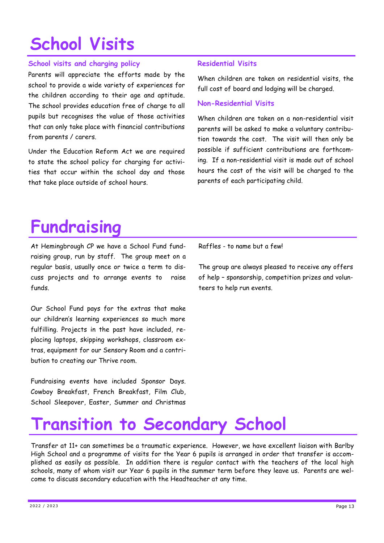# **School Visits**

# **School visits and charging policy**

Parents will appreciate the efforts made by the school to provide a wide variety of experiences for the children according to their age and aptitude. The school provides education free of charge to all pupils but recognises the value of those activities that can only take place with financial contributions from parents / carers.

Under the Education Reform Act we are required to state the school policy for charging for activities that occur within the school day and those that take place outside of school hours.

# **Residential Visits**

When children are taken on residential visits, the full cost of board and lodging will be charged.

# **Non-Residential Visits**

When children are taken on a non-residential visit parents will be asked to make a voluntary contribution towards the cost. The visit will then only be possible if sufficient contributions are forthcoming. If a non-residential visit is made out of school hours the cost of the visit will be charged to the parents of each participating child.

# **Fundraising**

At Hemingbrough CP we have a School Fund fundraising group, run by staff. The group meet on a regular basis, usually once or twice a term to discuss projects and to arrange events to raise funds.

Our School Fund pays for the extras that make our children's learning experiences so much more fulfilling. Projects in the past have included, replacing laptops, skipping workshops, classroom extras, equipment for our Sensory Room and a contribution to creating our Thrive room.

Fundraising events have included Sponsor Days. Cowboy Breakfast, French Breakfast, Film Club, School Sleepover, Easter, Summer and Christmas

Raffles - to name but a few!

The group are always pleased to receive any offers of help – sponsorship, competition prizes and volunteers to help run events.

# **Transition to Secondary School**

Transfer at 11+ can sometimes be a traumatic experience. However, we have excellent liaison with Barlby High School and a programme of visits for the Year 6 pupils is arranged in order that transfer is accomplished as easily as possible. In addition there is regular contact with the teachers of the local high schools, many of whom visit our Year 6 pupils in the summer term before they leave us. Parents are welcome to discuss secondary education with the Headteacher at any time.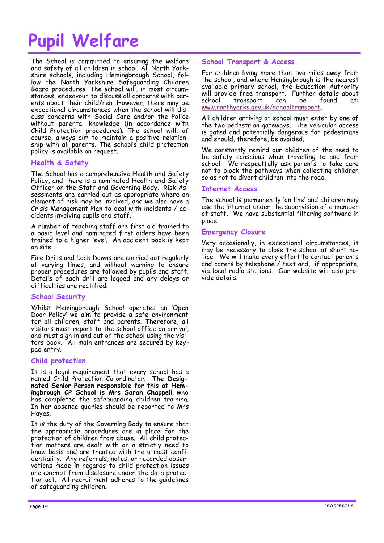# **Pupil Welfare**

The School is committed to ensuring the welfare and safety of all children in school. All North Yorkshire schools, including Hemingbrough School, follow the North Yorkshire Safeguarding Children Board procedures. The school will, in most circumstances, endeavour to discuss all concerns with parents about their child/ren. However, there may be exceptional circumstances when the school will discuss concerns with Social Care and/or the Police without parental knowledge (in accordance with Child Protection procedures). The school will, of course, always aim to maintain a positive relationship with all parents. The school's child protection policy is available on request.

## **Health & Safety**

The School has a comprehensive Health and Safety Policy, and there is a nominated Health and Safety Officer on the Staff and Governing Body. Risk Assessments are carried out as appropriate where an element of risk may be involved, and we also have a Crisis Management Plan to deal with incidents / accidents involving pupils and staff.

A number of teaching staff are first aid trained to a basic level and nominated first aiders have been trained to a higher level. An accident book is kept on site.

Fire Drills and Lock Downs are carried out regularly at varying times, and without warning to ensure proper procedures are followed by pupils and staff. Details of each drill are logged and any delays or difficulties are rectified.

### **School Security**

Whilst Hemingbrough School operates an 'Open Door Policy' we aim to provide a safe environment for all children, staff and parents. Therefore, all visitors must report to the school office on arrival, and must sign in and out of the school using the visitors book. All main entrances are secured by keypad entry.

### **Child protection**

It is a legal requirement that every school has a named Child Protection Co-ordinator. **The Designated Senior Person responsible for this at Hemingbrough CP School is Mrs Sarah Chappell**, who has completed the safeguarding children training. In her absence queries should be reported to Mrs Hayes.

It is the duty of the Governing Body to ensure that the appropriate procedures are in place for the protection of children from abuse. All child protection matters are dealt with on a strictly need to know basis and are treated with the utmost confidentiality. Any referrals, notes, or recorded observations made in regards to child protection issues are exempt from disclosure under the data protection act. All recruitment adheres to the guidelines of safeguarding children.

### **School Transport & Access**

For children living more than two miles away from the school, and where Hemingbrough is the nearest available primary school, the Education Authority will provide free transport. Further details about school transport can be found at: [www.northyorks.gov.uk/schooltransport.](http://www.nyschoolbus.info/)

All children arriving at school must enter by one of the two pedestrian gateways. The vehicular access is gated and potentially dangerous for pedestrians and should, therefore, be avoided.

We constantly remind our children of the need to be safety conscious when travelling to and from school. We respectfully ask parents to take care not to block the pathways when collecting children so as not to divert children into the road.

### **Internet Access**

The school is permanently 'on line' and children may use the internet under the supervision of a member of staff. We have substantial filtering software in place.

### **Emergency Closure**

Very occasionally, in exceptional circumstances, it may be necessary to close the school at short notice. We will make every effort to contact parents and carers by telephone / text and, if appropriate, via local radio stations. Our website will also provide details.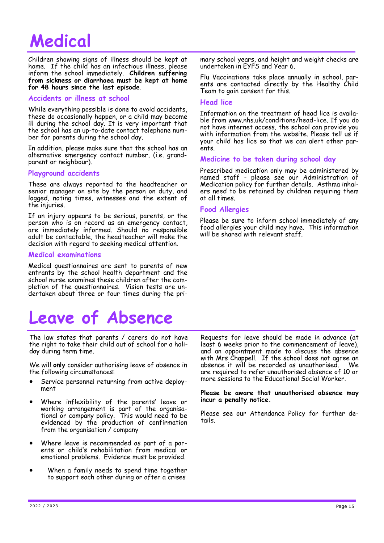# **Medical**

Children showing signs of illness should be kept at home. If the child has an infectious illness, please inform the school immediately. **Children suffering from sickness or diarrhoea must be kept at home for 48 hours since the last episode**.

### **Accidents or illness at school**

While everything possible is done to avoid accidents, these do occasionally happen, or a child may become ill during the school day. It is very important that the school has an up-to-date contact telephone number for parents during the school day.

In addition, please make sure that the school has an alternative emergency contact number, (i.e. grandparent or neighbour).

### **Playground accidents**

These are always reported to the headteacher or senior manager on site by the person on duty, and logged, noting times, witnesses and the extent of the injuries.

If an injury appears to be serious, parents, or the person who is on record as an emergency contact, are immediately informed. Should no responsible adult be contactable, the headteacher will make the decision with regard to seeking medical attention.

### **Medical examinations**

Medical questionnaires are sent to parents of new entrants by the school health department and the school nurse examines these children after the completion of the questionnaires. Vision tests are undertaken about three or four times during the pri-

# **Leave of Absence**

The law states that parents / carers do not have the right to take their child out of school for a holiday during term time.

We will **only** consider authorising leave of absence in the following circumstances:

- Service personnel returning from active deployment
- Where inflexibility of the parents' leave or working arrangement is part of the organisational or company policy. This would need to be evidenced by the production of confirmation from the organisation / company
- Where leave is recommended as part of a parents or child's rehabilitation from medical or emotional problems. Evidence must be provided.
- When a family needs to spend time together to support each other during or after a crises

mary school years, and height and weight checks are undertaken in EYFS and Year 6.

Flu Vaccinations take place annually in school, parents are contacted directly by the Healthy Child Team to gain consent for this.

### **Head lice**

Information on the treatment of head lice is available from www.nhs.uk/conditions/head-lice. If you do not have internet access, the school can provide you with information from the website. Please tell us if your child has lice so that we can alert other parents.

## **Medicine to be taken during school day**

Prescribed medication only may be administered by named staff - please see our Administration of Medication policy for further details. Asthma inhalers need to be retained by children requiring them at all times.

## **Food Allergies**

Please be sure to inform school immediately of any food allergies your child may have. This information will be shared with relevant staff.

Requests for leave should be made in advance (at least 6 weeks prior to the commencement of leave), and an appointment made to discuss the absence with Mrs Chappell. If the school does not agree an absence it will be recorded as unauthorised. We are required to refer unauthorised absence of 10 or more sessions to the Educational Social Worker.

#### **Please be aware that unauthorised absence may incur a penalty notice.**

Please see our Attendance Policy for further details.